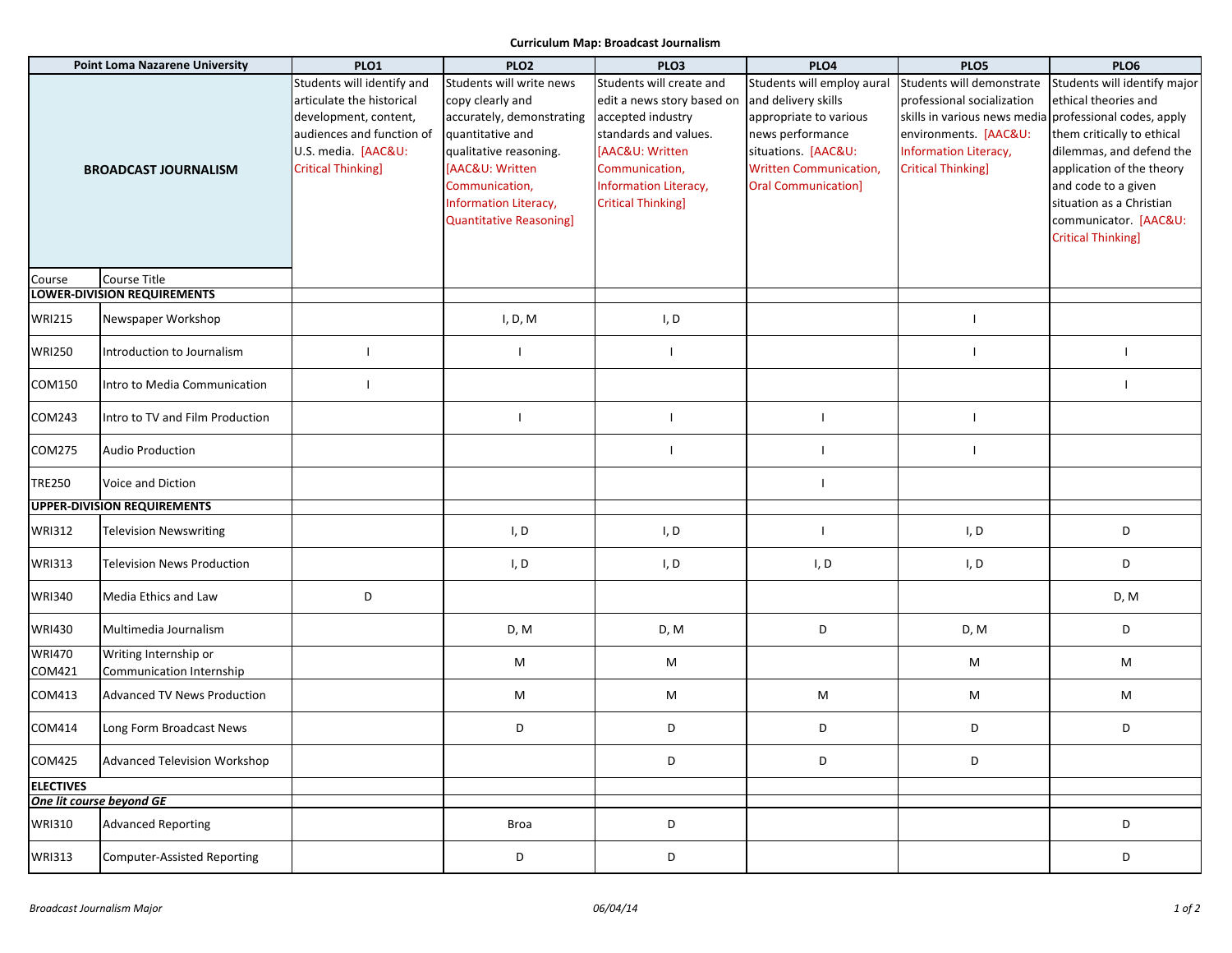## **Curriculum Map: Broadcast Journalism**

| <b>Point Loma Nazarene University</b>        |                                     | PLO1                       | <b>PLO2</b>                    | PLO <sub>3</sub>           | PLO4                          | PLO5                                                   | PLO6                         |
|----------------------------------------------|-------------------------------------|----------------------------|--------------------------------|----------------------------|-------------------------------|--------------------------------------------------------|------------------------------|
|                                              |                                     | Students will identify and | Students will write news       | Students will create and   | Students will employ aural    | Students will demonstrate                              | Students will identify major |
|                                              |                                     | articulate the historical  | copy clearly and               | edit a news story based on | and delivery skills           | professional socialization                             | ethical theories and         |
|                                              |                                     | development, content,      | accurately, demonstrating      | accepted industry          | appropriate to various        | skills in various news media professional codes, apply |                              |
|                                              |                                     | audiences and function of  | quantitative and               | standards and values.      | news performance              | environments. [AAC&U:                                  | them critically to ethical   |
|                                              |                                     | U.S. media. [AAC&U:        | qualitative reasoning.         | <b>IAAC&amp;U: Written</b> | situations. [AAC&U:           | <b>Information Literacy,</b>                           | dilemmas, and defend the     |
|                                              | <b>BROADCAST JOURNALISM</b>         | <b>Critical Thinking]</b>  | [AAC&U: Written                | Communication,             | <b>Written Communication,</b> | <b>Critical Thinking]</b>                              | application of the theory    |
|                                              |                                     |                            | Communication,                 | Information Literacy,      | <b>Oral Communication]</b>    |                                                        | and code to a given          |
|                                              |                                     |                            |                                |                            |                               |                                                        | situation as a Christian     |
|                                              |                                     |                            | Information Literacy,          | <b>Critical Thinking]</b>  |                               |                                                        |                              |
|                                              |                                     |                            | <b>Quantitative Reasoning]</b> |                            |                               |                                                        | communicator. [AAC&U:        |
|                                              |                                     |                            |                                |                            |                               |                                                        | <b>Critical Thinking]</b>    |
|                                              |                                     |                            |                                |                            |                               |                                                        |                              |
| Course                                       | Course Title                        |                            |                                |                            |                               |                                                        |                              |
|                                              | <b>LOWER-DIVISION REQUIREMENTS</b>  |                            |                                |                            |                               |                                                        |                              |
| <b>WRI215</b>                                | Newspaper Workshop                  |                            | I, D, M                        | I, D                       |                               |                                                        |                              |
|                                              |                                     |                            |                                |                            |                               |                                                        |                              |
| <b>WRI250</b>                                | Introduction to Journalism          |                            | $\mathbf{I}$                   |                            |                               |                                                        | $\mathbf{I}$                 |
|                                              |                                     |                            |                                |                            |                               |                                                        |                              |
| COM150                                       | Intro to Media Communication        |                            |                                |                            |                               |                                                        |                              |
|                                              |                                     |                            |                                |                            |                               |                                                        |                              |
| COM243                                       | Intro to TV and Film Production     |                            |                                |                            |                               |                                                        |                              |
|                                              |                                     |                            |                                |                            |                               |                                                        |                              |
| COM275                                       | <b>Audio Production</b>             |                            |                                |                            |                               |                                                        |                              |
|                                              |                                     |                            |                                |                            |                               |                                                        |                              |
| <b>TRE250</b>                                | Voice and Diction                   |                            |                                |                            |                               |                                                        |                              |
|                                              |                                     |                            |                                |                            |                               |                                                        |                              |
| <b>UPPER-DIVISION REQUIREMENTS</b>           |                                     |                            |                                |                            |                               |                                                        |                              |
| <b>WRI312</b>                                | <b>Television Newswriting</b>       |                            | I, D                           | I, D                       | $\mathbf{I}$                  | I, D                                                   | D                            |
|                                              |                                     |                            |                                |                            |                               |                                                        |                              |
| <b>WRI313</b>                                | <b>Television News Production</b>   |                            | I, D                           | I, D                       | I, D                          | I, D                                                   | D                            |
|                                              |                                     |                            |                                |                            |                               |                                                        |                              |
| <b>WRI340</b>                                | Media Ethics and Law                | D                          |                                |                            |                               |                                                        | D, M                         |
|                                              |                                     |                            |                                |                            |                               |                                                        |                              |
| <b>WRI430</b>                                | Multimedia Journalism               |                            | D, M                           | D, M                       | D                             | D, M                                                   | D                            |
|                                              |                                     |                            |                                |                            |                               |                                                        |                              |
| <b>WRI470</b>                                | Writing Internship or               |                            | M                              | M                          |                               | M                                                      | M                            |
| COM421                                       | Communication Internship            |                            |                                |                            |                               |                                                        |                              |
| COM413                                       | <b>Advanced TV News Production</b>  |                            | M                              | M                          | M                             | M                                                      | M                            |
|                                              |                                     |                            |                                |                            |                               |                                                        |                              |
| COM414                                       | Long Form Broadcast News            |                            | D                              | D                          | D                             | D                                                      | D                            |
|                                              |                                     |                            |                                |                            |                               |                                                        |                              |
| COM425                                       | <b>Advanced Television Workshop</b> |                            |                                | D                          | D                             | D                                                      |                              |
|                                              |                                     |                            |                                |                            |                               |                                                        |                              |
| <b>ELECTIVES</b><br>One lit course beyond GE |                                     |                            |                                |                            |                               |                                                        |                              |
|                                              |                                     |                            |                                |                            |                               |                                                        |                              |
| <b>WRI310</b>                                | <b>Advanced Reporting</b>           |                            | Broa                           | D                          |                               |                                                        | D                            |
|                                              |                                     |                            |                                |                            |                               |                                                        |                              |
| <b>WRI313</b>                                | Computer-Assisted Reporting         |                            | D                              | D                          |                               |                                                        | D                            |